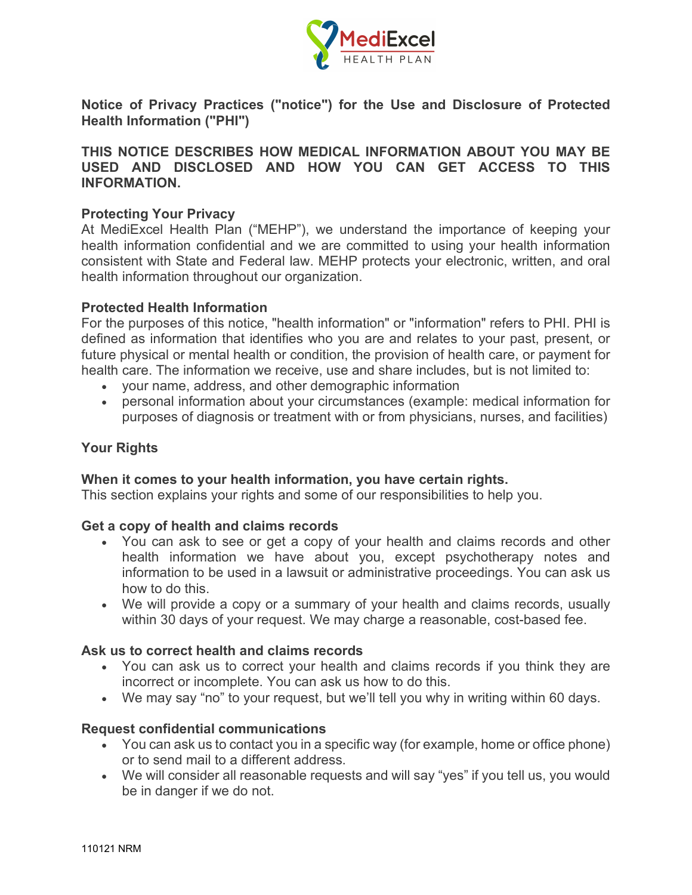

**Notice of Privacy Practices ("notice") for the Use and Disclosure of Protected Health Information ("PHI")**

**THIS NOTICE DESCRIBES HOW MEDICAL INFORMATION ABOUT YOU MAY BE USED AND DISCLOSED AND HOW YOU CAN GET ACCESS TO THIS INFORMATION.**

### **Protecting Your Privacy**

At MediExcel Health Plan ("MEHP"), we understand the importance of keeping your health information confidential and we are committed to using your health information consistent with State and Federal law. MEHP protects your electronic, written, and oral health information throughout our organization.

#### **Protected Health Information**

For the purposes of this notice, "health information" or "information" refers to PHI. PHI is defined as information that identifies who you are and relates to your past, present, or future physical or mental health or condition, the provision of health care, or payment for health care. The information we receive, use and share includes, but is not limited to:

- your name, address, and other demographic information
- personal information about your circumstances (example: medical information for purposes of diagnosis or treatment with or from physicians, nurses, and facilities)

#### **Your Rights**

#### **When it comes to your health information, you have certain rights.**

This section explains your rights and some of our responsibilities to help you.

#### **Get a copy of health and claims records**

- You can ask to see or get a copy of your health and claims records and other health information we have about you, except psychotherapy notes and information to be used in a lawsuit or administrative proceedings. You can ask us how to do this.
- We will provide a copy or a summary of your health and claims records, usually within 30 days of your request. We may charge a reasonable, cost-based fee.

#### **Ask us to correct health and claims records**

- You can ask us to correct your health and claims records if you think they are incorrect or incomplete. You can ask us how to do this.
- We may say "no" to your request, but we'll tell you why in writing within 60 days.

#### **Request confidential communications**

- You can ask us to contact you in a specific way (for example, home or office phone) or to send mail to a different address.
- We will consider all reasonable requests and will say "yes" if you tell us, you would be in danger if we do not.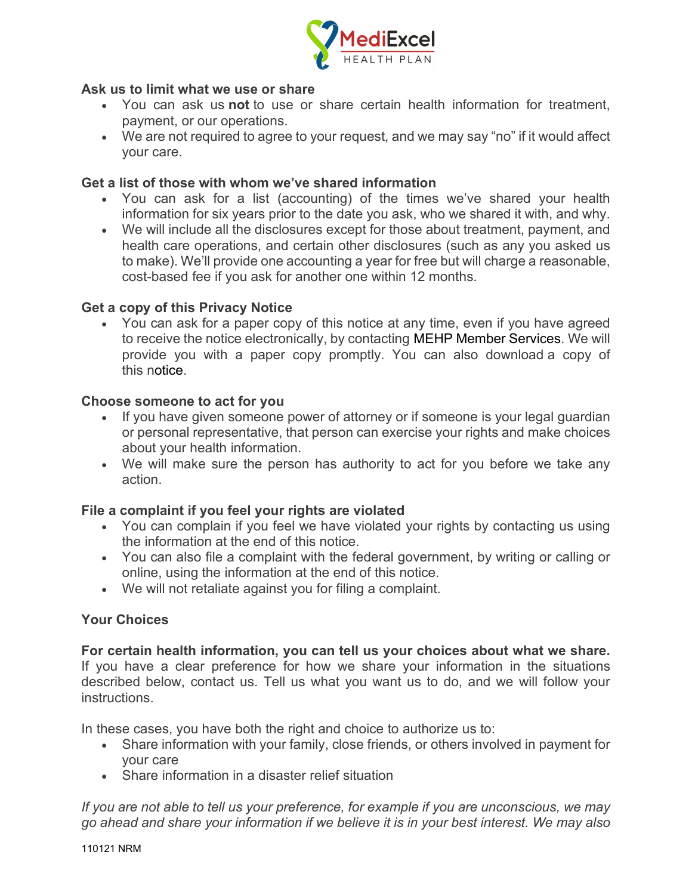

## **Ask us to limit what we use or share**

- You can ask us **not** to use or share certain health information for treatment, payment, or our operations.
- We are not required to agree to your request, and we may say "no" if it would affect your care.

### **Get a list of those with whom we've shared information**

- You can ask for a list (accounting) of the times we've shared your health information for six years prior to the date you ask, who we shared it with, and why.
- We will include all the disclosures except for those about treatment, payment, and health care operations, and certain other disclosures (such as any you asked us to make). We'll provide one accounting a year for free but will charge a reasonable, cost-based fee if you ask for another one within 12 months.

### **Get a copy of this Privacy Notice**

• You can ask for a paper copy of this notice at any time, even if you have agreed to receive the notice electronically, by contacting MEHP Member Services. We will provide you with a paper copy promptly. You can also download a copy of this notice.

### **Choose someone to act for you**

- If you have given someone power of attorney or if someone is your legal guardian or personal representative, that person can exercise your rights and make choices about your health information.
- We will make sure the person has authority to act for you before we take any action.

## **File a complaint if you feel your rights are violated**

- You can complain if you feel we have violated your rights by contacting us using the information at the end of this notice.
- You can also file a complaint with the federal government, by writing or calling or online, using the information at the end of this notice.
- We will not retaliate against you for filing a complaint.

## **Your Choices**

**For certain health information, you can tell us your choices about what we share.** If you have a clear preference for how we share your information in the situations described below, contact us. Tell us what you want us to do, and we will follow your instructions.

In these cases, you have both the right and choice to authorize us to:

- Share information with your family, close friends, or others involved in payment for your care
- Share information in a disaster relief situation

*If you are not able to tell us your preference, for example if you are unconscious, we may go ahead and share your information if we believe it is in your best interest. We may also*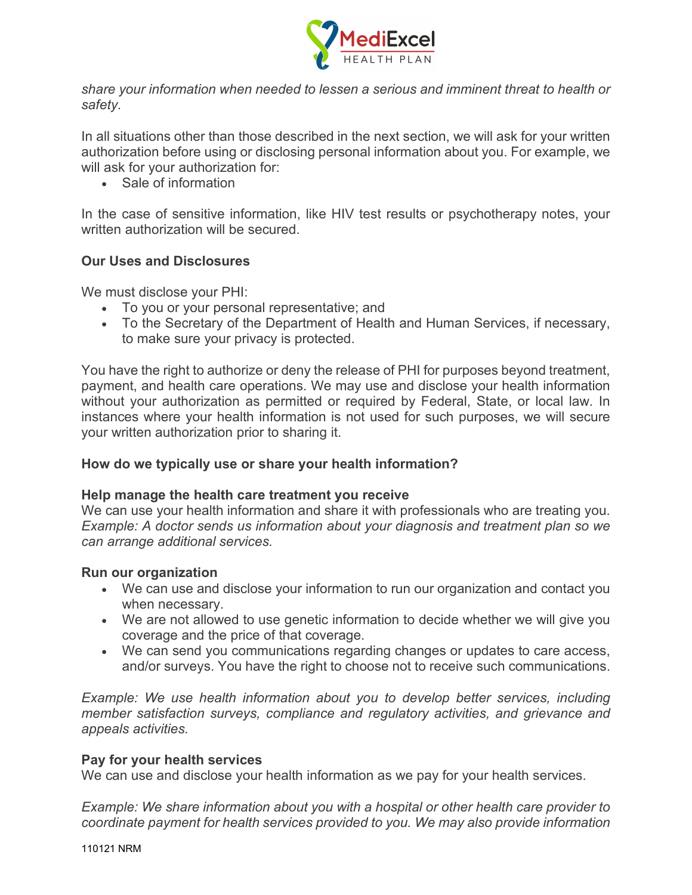

*share your information when needed to lessen a serious and imminent threat to health or safety.*

In all situations other than those described in the next section, we will ask for your written authorization before using or disclosing personal information about you. For example, we will ask for your authorization for:

• Sale of information

In the case of sensitive information, like HIV test results or psychotherapy notes, your written authorization will be secured.

## **Our Uses and Disclosures**

We must disclose your PHI:

- To you or your personal representative; and
- To the Secretary of the Department of Health and Human Services, if necessary, to make sure your privacy is protected.

You have the right to authorize or deny the release of PHI for purposes beyond treatment, payment, and health care operations. We may use and disclose your health information without your authorization as permitted or required by Federal, State, or local law. In instances where your health information is not used for such purposes, we will secure your written authorization prior to sharing it.

## **How do we typically use or share your health information?**

## **Help manage the health care treatment you receive**

We can use your health information and share it with professionals who are treating you. *Example: A doctor sends us information about your diagnosis and treatment plan so we can arrange additional services.*

## **Run our organization**

- We can use and disclose your information to run our organization and contact you when necessary.
- We are not allowed to use genetic information to decide whether we will give you coverage and the price of that coverage.
- We can send you communications regarding changes or updates to care access, and/or surveys. You have the right to choose not to receive such communications.

*Example: We use health information about you to develop better services, including member satisfaction surveys, compliance and regulatory activities, and grievance and appeals activities.*

## **Pay for your health services**

We can use and disclose your health information as we pay for your health services.

*Example: We share information about you with a hospital or other health care provider to coordinate payment for health services provided to you. We may also provide information*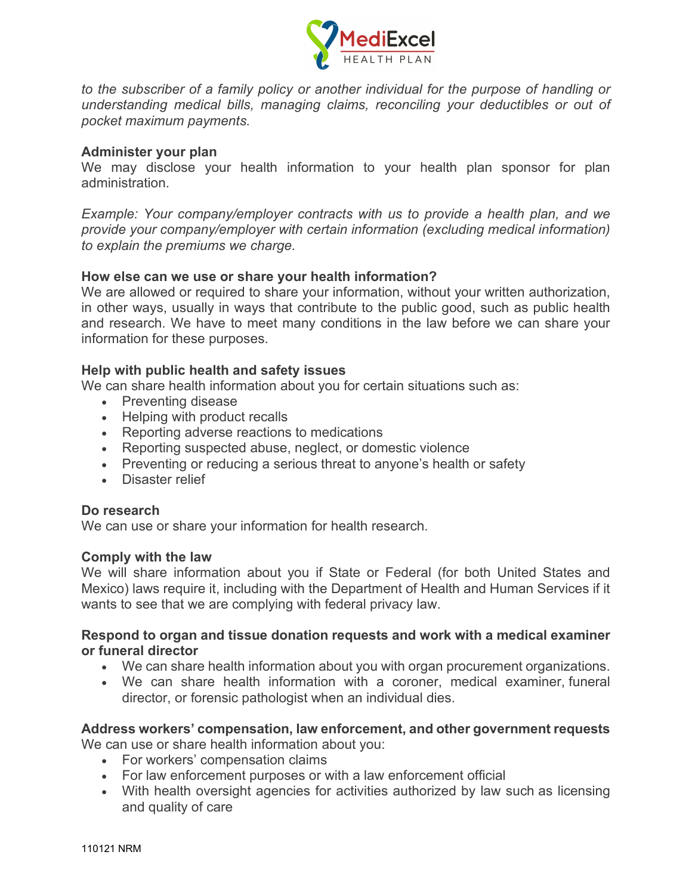

*to the subscriber of a family policy or another individual for the purpose of handling or understanding medical bills, managing claims, reconciling your deductibles or out of pocket maximum payments.*

#### **Administer your plan**

We may disclose your health information to your health plan sponsor for plan administration.

*Example: Your company/employer contracts with us to provide a health plan, and we provide your company/employer with certain information (excluding medical information) to explain the premiums we charge.*

#### **How else can we use or share your health information?**

We are allowed or required to share your information, without your written authorization, in other ways, usually in ways that contribute to the public good, such as public health and research. We have to meet many conditions in the law before we can share your information for these purposes.

### **Help with public health and safety issues**

We can share health information about you for certain situations such as:

- Preventing disease
- Helping with product recalls
- Reporting adverse reactions to medications
- Reporting suspected abuse, neglect, or domestic violence
- Preventing or reducing a serious threat to anyone's health or safety
- Disaster relief

#### **Do research**

We can use or share your information for health research.

#### **Comply with the law**

We will share information about you if State or Federal (for both United States and Mexico) laws require it, including with the Department of Health and Human Services if it wants to see that we are complying with federal privacy law.

#### **Respond to organ and tissue donation requests and work with a medical examiner or funeral director**

- We can share health information about you with organ procurement organizations.
- We can share health information with a coroner, medical examiner, funeral director, or forensic pathologist when an individual dies.

#### **Address workers' compensation, law enforcement, and other government requests** We can use or share health information about you:

• For workers' compensation claims

- For law enforcement purposes or with a law enforcement official
- With health oversight agencies for activities authorized by law such as licensing and quality of care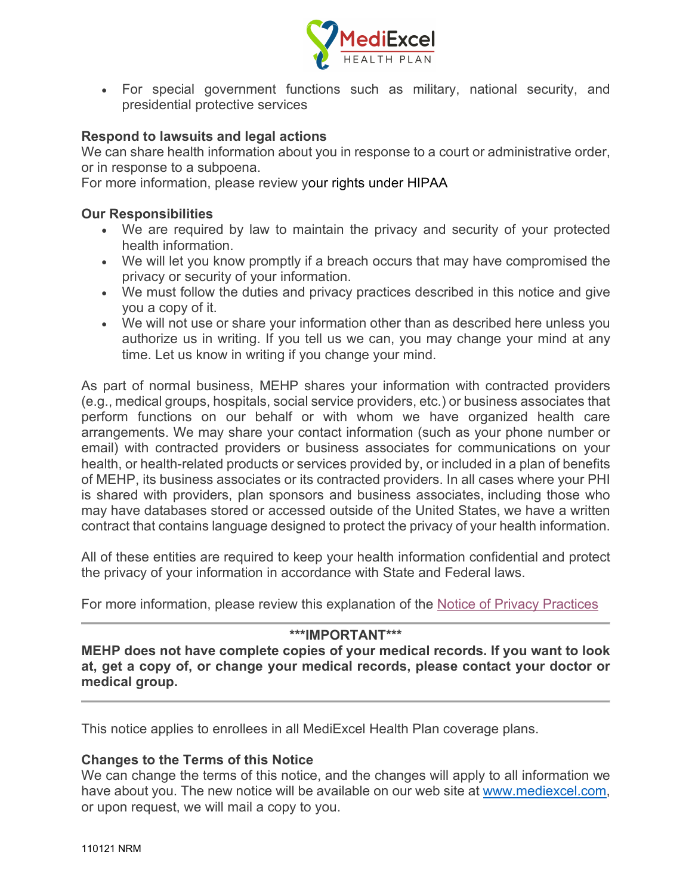

• For special government functions such as military, national security, and presidential protective services

### **Respond to lawsuits and legal actions**

We can share health information about you in response to a court or administrative order, or in response to a subpoena.

For more information, please review your rights under HIPAA

#### **Our Responsibilities**

- We are required by law to maintain the privacy and security of your protected health information.
- We will let you know promptly if a breach occurs that may have compromised the privacy or security of your information.
- We must follow the duties and privacy practices described in this notice and give you a copy of it.
- We will not use or share your information other than as described here unless you authorize us in writing. If you tell us we can, you may change your mind at any time. Let us know in writing if you change your mind.

As part of normal business, MEHP shares your information with contracted providers (e.g., medical groups, hospitals, social service providers, etc.) or business associates that perform functions on our behalf or with whom we have organized health care arrangements. We may share your contact information (such as your phone number or email) with contracted providers or business associates for communications on your health, or health-related products or services provided by, or included in a plan of benefits of MEHP, its business associates or its contracted providers. In all cases where your PHI is shared with providers, plan sponsors and business associates, including those who may have databases stored or accessed outside of the United States, we have a written contract that contains language designed to protect the privacy of your health information.

All of these entities are required to keep your health information confidential and protect the privacy of your information in accordance with State and Federal laws.

For more information, please review this explanation of the [Notice of Privacy Practices](https://www.hhs.gov/hipaa/for-individuals/notice-privacy-practices/index.html)

#### **\*\*\*IMPORTANT\*\*\***

**MEHP does not have complete copies of your medical records. If you want to look at, get a copy of, or change your medical records, please contact your doctor or medical group.**

This notice applies to enrollees in all MediExcel Health Plan coverage plans.

## **Changes to the Terms of this Notice**

We can change the terms of this notice, and the changes will apply to all information we have about you. The new notice will be available on our web site at [www.mediexcel.com,](http://www.mediexcel.com/) or upon request, we will mail a copy to you.